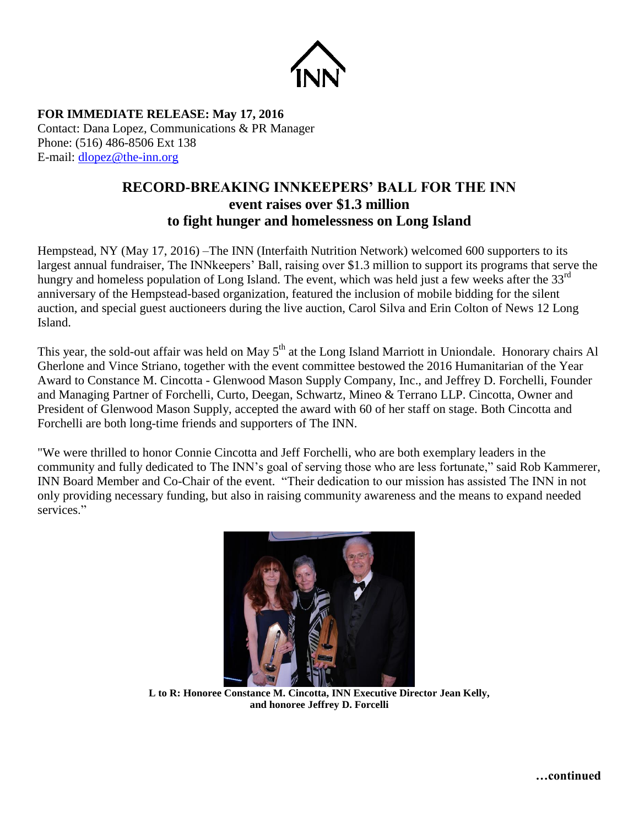

**FOR IMMEDIATE RELEASE: May 17, 2016** Contact: Dana Lopez, Communications & PR Manager Phone: (516) 486-8506 Ext 138 E-mail: [dlopez@the-inn.org](mailto:dlopez@the-inn.org)

## **RECORD-BREAKING INNKEEPERS' BALL FOR THE INN event raises over \$1.3 million to fight hunger and homelessness on Long Island**

Hempstead, NY (May 17, 2016) –The INN (Interfaith Nutrition Network) welcomed 600 supporters to its largest annual fundraiser, The INNkeepers' Ball, raising over \$1.3 million to support its programs that serve the hungry and homeless population of Long Island. The event, which was held just a few weeks after the 33<sup>rd</sup> anniversary of the Hempstead-based organization, featured the inclusion of mobile bidding for the silent auction, and special guest auctioneers during the live auction, Carol Silva and Erin Colton of News 12 Long Island.

This year, the sold-out affair was held on May 5<sup>th</sup> at the Long Island Marriott in Uniondale. Honorary chairs Al Gherlone and Vince Striano, together with the event committee bestowed the 2016 Humanitarian of the Year Award to Constance M. Cincotta - Glenwood Mason Supply Company, Inc., and Jeffrey D. Forchelli, Founder and Managing Partner of Forchelli, Curto, Deegan, Schwartz, Mineo & Terrano LLP. Cincotta, Owner and President of Glenwood Mason Supply, accepted the award with 60 of her staff on stage. Both Cincotta and Forchelli are both long-time friends and supporters of The INN.

"We were thrilled to honor Connie Cincotta and Jeff Forchelli, who are both exemplary leaders in the community and fully dedicated to The INN's goal of serving those who are less fortunate," said Rob Kammerer, INN Board Member and Co-Chair of the event. "Their dedication to our mission has assisted The INN in not only providing necessary funding, but also in raising community awareness and the means to expand needed services."



**L to R: Honoree Constance M. Cincotta, INN Executive Director Jean Kelly, and honoree Jeffrey D. Forcelli** 

**…continued**